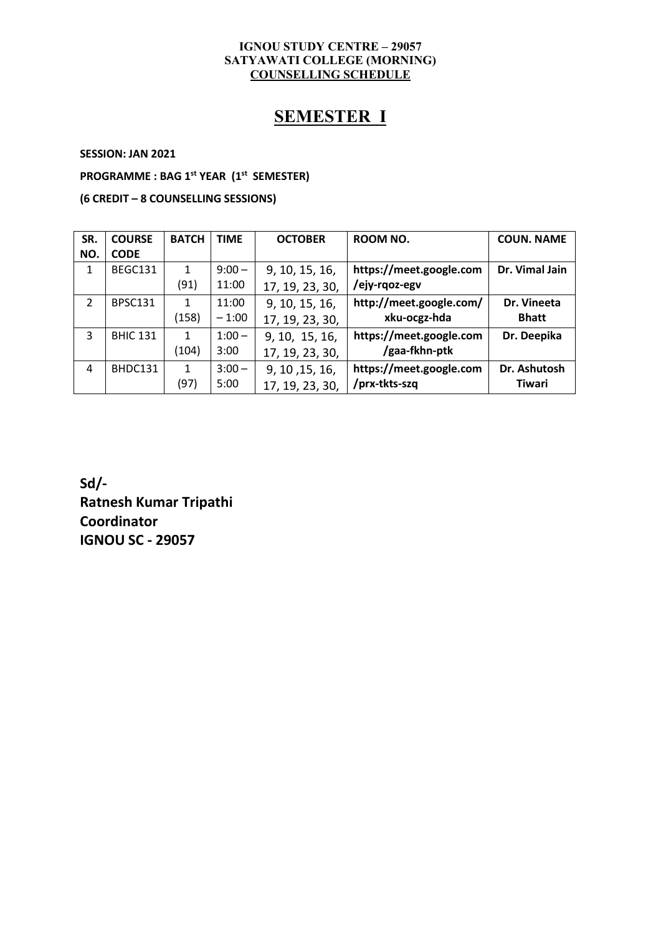#### **IGNOU STUDY CENTRE – 29057 SATYAWATI COLLEGE (MORNING) COUNSELLING SCHEDULE**

## **SEMESTER I**

**SESSION: JAN 2021**

**PROGRAMME : BAG 1 st YEAR (1 st SEMESTER)**

**(6 CREDIT – 8 COUNSELLING SESSIONS)**

| SR.            | <b>COURSE</b>   | <b>BATCH</b> | <b>TIME</b> | <b>OCTOBER</b>  | ROOM NO.                | <b>COUN. NAME</b> |
|----------------|-----------------|--------------|-------------|-----------------|-------------------------|-------------------|
| NO.            | <b>CODE</b>     |              |             |                 |                         |                   |
| $\mathbf{1}$   | BEGC131         |              | $9:00 -$    | 9, 10, 15, 16,  | https://meet.google.com | Dr. Vimal Jain    |
|                |                 | (91)         | 11:00       | 17, 19, 23, 30, | /ejy-rqoz-egv           |                   |
| $\overline{2}$ | <b>BPSC131</b>  |              | 11:00       | 9, 10, 15, 16,  | http://meet.google.com/ | Dr. Vineeta       |
|                |                 | (158)        | $-1:00$     | 17, 19, 23, 30, | xku-ocgz-hda            | <b>Bhatt</b>      |
| 3              | <b>BHIC 131</b> |              | $1:00 -$    | 9, 10, 15, 16,  | https://meet.google.com | Dr. Deepika       |
|                |                 | (104)        | 3:00        | 17, 19, 23, 30, | /gaa-fkhn-ptk           |                   |
| 4              | BHDC131         | 1            | $3:00 -$    | 9, 10, 15, 16,  | https://meet.google.com | Dr. Ashutosh      |
|                |                 | (97)         | 5:00        | 17, 19, 23, 30, | /prx-tkts-szq           | Tiwari            |

**Sd/- Ratnesh Kumar Tripathi Coordinator IGNOU SC - 29057**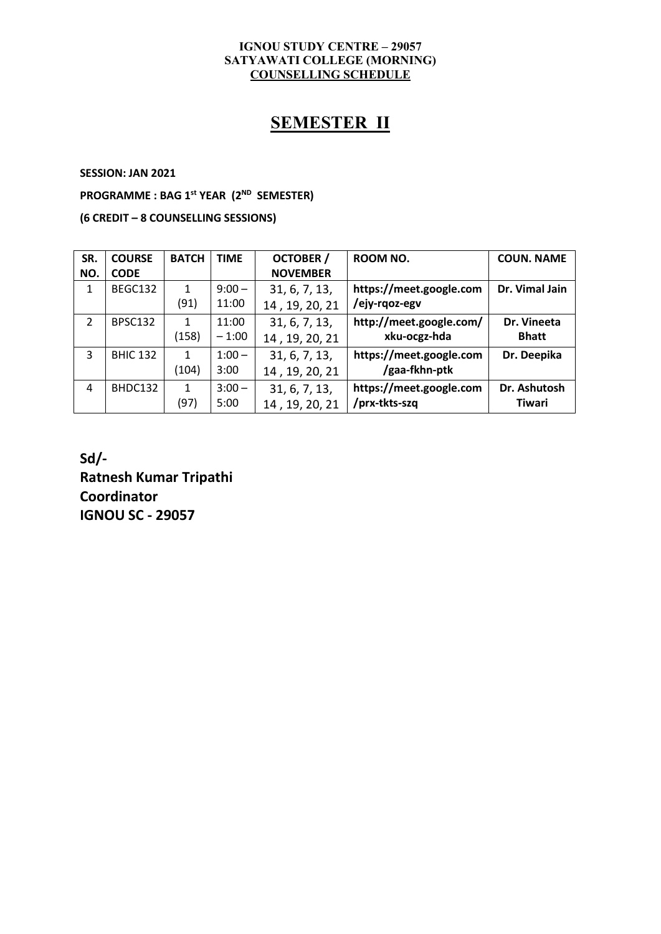#### **IGNOU STUDY CENTRE – 29057 SATYAWATI COLLEGE (MORNING) COUNSELLING SCHEDULE**

# **SEMESTER II**

**SESSION: JAN 2021**

**PROGRAMME : BAG 1 st YEAR (2 ND SEMESTER)**

**(6 CREDIT – 8 COUNSELLING SESSIONS)**

| SR.            | <b>COURSE</b>   | <b>BATCH</b> | <b>TIME</b> | <b>OCTOBER /</b> | <b>ROOM NO.</b>         | <b>COUN. NAME</b> |
|----------------|-----------------|--------------|-------------|------------------|-------------------------|-------------------|
| NO.            | <b>CODE</b>     |              |             | <b>NOVEMBER</b>  |                         |                   |
| 1              | BEGC132         | 1            | $9:00 -$    | 31, 6, 7, 13,    | https://meet.google.com | Dr. Vimal Jain    |
|                |                 | (91)         | 11:00       | 14, 19, 20, 21   | /ejy-rqoz-egv           |                   |
| $\overline{2}$ | <b>BPSC132</b>  |              | 11:00       | 31, 6, 7, 13,    | http://meet.google.com/ | Dr. Vineeta       |
|                |                 | (158)        | $-1:00$     | 14, 19, 20, 21   | xku-ocgz-hda            | <b>Bhatt</b>      |
| 3              | <b>BHIC 132</b> | 1            | $1:00 -$    | 31, 6, 7, 13,    | https://meet.google.com | Dr. Deepika       |
|                |                 | (104)        | 3:00        | 14, 19, 20, 21   | /gaa-fkhn-ptk           |                   |
| 4              | BHDC132         | 1            | $3:00 -$    | 31, 6, 7, 13,    | https://meet.google.com | Dr. Ashutosh      |
|                |                 | (97)         | 5:00        | 14, 19, 20, 21   | /prx-tkts-szq           | <b>Tiwari</b>     |

**Sd/- Ratnesh Kumar Tripathi Coordinator IGNOU SC - 29057**